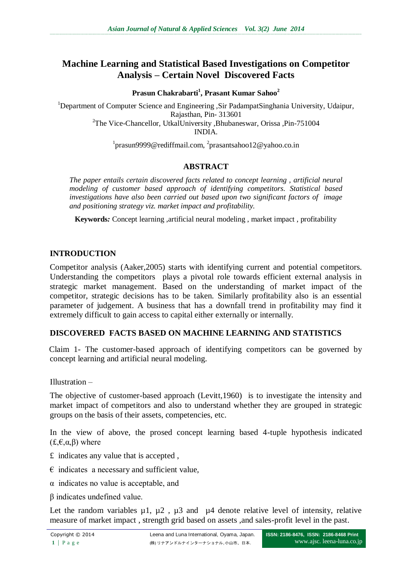# **Machine Learning and Statistical Based Investigations on Competitor Analysis – Certain Novel Discovered Facts**

#### **Prasun Chakrabarti<sup>1</sup> , Prasant Kumar Sahoo<sup>2</sup>**

<sup>1</sup>Department of Computer Science and Engineering ,Sir PadampatSinghania University, Udaipur, Rajasthan, Pin- 313601 <sup>2</sup>The Vice-Chancellor, UtkalUniversity ,Bhubaneswar, Orissa ,Pin-751004 INDIA.

<sup>1</sup>prasun9999@rediffmail.com, <sup>2</sup>prasantsahoo12@yahoo.co.in

## **ABSTRACT**

*The paper entails certain discovered facts related to concept learning , artificial neural modeling of customer based approach of identifying competitors. Statistical based investigations have also been carried out based upon two significant factors of image and positioning strategy viz. market impact and profitability.*

**Keywords***:* Concept learning ,artificial neural modeling , market impact , profitability

#### **INTRODUCTION**

Competitor analysis (Aaker,2005) starts with identifying current and potential competitors. Understanding the competitors plays a pivotal role towards efficient external analysis in strategic market management. Based on the understanding of market impact of the competitor, strategic decisions has to be taken. Similarly profitability also is an essential parameter of judgement. A business that has a downfall trend in profitability may find it extremely difficult to gain access to capital either externally or internally.

#### **DISCOVERED FACTS BASED ON MACHINE LEARNING AND STATISTICS**

Claim 1- The customer-based approach of identifying competitors can be governed by concept learning and artificial neural modeling.

Illustration –

The objective of customer-based approach (Levitt,1960) is to investigate the intensity and market impact of competitors and also to understand whether they are grouped in strategic groups on the basis of their assets, competencies, etc.

In the view of above, the prosed concept learning based 4-tuple hypothesis indicated  $(f,\epsilon,\alpha,\beta)$  where

- £ indicates any value that is accepted ,
- $\epsilon$  indicates a necessary and sufficient value,
- α indicates no value is acceptable, and
- β indicates undefined value.

Let the random variables  $\mu$ 1,  $\mu$ 2,  $\mu$ 3 and  $\mu$ 4 denote relative level of intensity, relative measure of market impact , strength grid based on assets ,and sales-profit level in the past.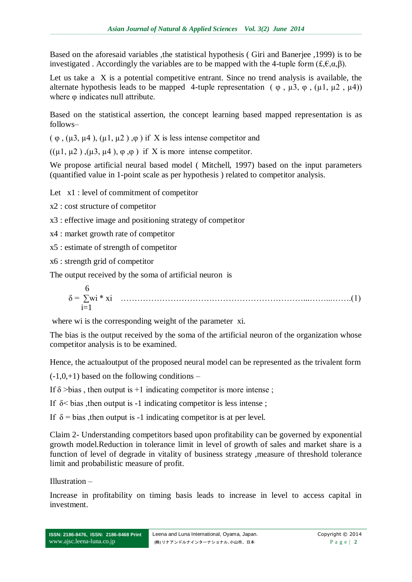Based on the aforesaid variables ,the statistical hypothesis ( Giri and Banerjee ,1999) is to be investigated . Accordingly the variables are to be mapped with the 4-tuple form  $(f, \epsilon, \alpha, \beta)$ .

Let us take a X is a potential competitive entrant. Since no trend analysis is available, the alternate hypothesis leads to be mapped 4-tuple representation ( $\varphi$ ,  $\mu$ 3,  $\varphi$ ,  $(\mu$ 1,  $\mu$ 2,  $\mu$ 4)) where *φ* indicates null attribute.

Based on the statistical assertion, the concept learning based mapped representation is as follows–

 $(\varphi, (\mu 3, \mu 4), (\mu 1, \mu 2), \varphi)$  if X is less intense competitor and

 $((\mu 1, \mu 2), (\mu 3, \mu 4), \varphi, \varphi)$  if X is more intense competitor.

We propose artificial neural based model ( Mitchell, 1997) based on the input parameters (quantified value in 1-point scale as per hypothesis ) related to competitor analysis.

Let x1 : level of commitment of competitor

x2 : cost structure of competitor

- x3 : effective image and positioning strategy of competitor
- x4 : market growth rate of competitor
- x5 : estimate of strength of competitor
- x6 : strength grid of competitor

The output received by the soma of artificial neuron is

 6 δ = ∑wi \* xi …………………………………………………………...……...…….(1) i=1

where wi is the corresponding weight of the parameter xi.

The bias is the output received by the soma of the artificial neuron of the organization whose competitor analysis is to be examined.

Hence, the actualoutput of the proposed neural model can be represented as the trivalent form

 $(-1,0,+1)$  based on the following conditions –

If  $\delta$  >bias, then output is +1 indicating competitor is more intense:

If  $\delta$   $\leq$  bias , then output is -1 indicating competitor is less intense;

If  $\delta$  = bias , then output is -1 indicating competitor is at per level.

Claim 2- Understanding competitors based upon profitability can be governed by exponential growth model.Reduction in tolerance limit in level of growth of sales and market share is a function of level of degrade in vitality of business strategy ,measure of threshold tolerance limit and probabilistic measure of profit.

Illustration –

Increase in profitability on timing basis leads to increase in level to access capital in investment.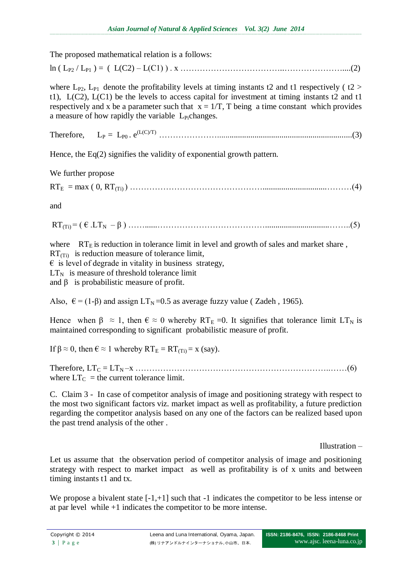The proposed mathematical relation is a follows:

ln ( LP2 / LP1 ) = ( L(C2) – L(C1) ) . x ………………………………..…………………....(2)

where  $L_{P2}$ ,  $L_{P1}$  denote the profitability levels at timing instants t2 and t1 respectively ( t2 > t1),  $L(C2)$ ,  $L(C1)$  be the levels to access capital for investment at timing instants t2 and t1 respectively and x be a parameter such that  $x = 1/T$ , T being a time constant which provides a measure of how rapidly the variable  $L<sub>Pi</sub>$ changes.

Therefore, LP = LP0 . e(L(C)/T) ………………….................................................................(3)

Hence, the Eq(2) signifies the validity of exponential growth pattern.

We further propose

 $RT_E = max ( 0, RT_{(Ti)}) ... ... ... ... ... ... ... ... ... ... ... ... ... ... ... ... ... ... ... ... ... (4)$ 

and

RT(Ti) = ( € .LTN – β ) ……......…………………………………...............................……..(5)

where  $RT_E$  is reduction in tolerance limit in level and growth of sales and market share,  $RT(T_i)$  is reduction measure of tolerance limit,  $\epsilon$  is level of degrade in vitality in business strategy,  $LT<sub>N</sub>$  is measure of threshold tolerance limit

and  $\beta$  is probabilistic measure of profit.

Also,  $\epsilon = (1-\beta)$  and assign  $LT_N = 0.5$  as average fuzzy value (Zadeh, 1965).

Hence when  $\beta \approx 1$ , then  $\epsilon \approx 0$  whereby RT<sub>E</sub> =0. It signifies that tolerance limit LT<sub>N</sub> is maintained corresponding to significant probabilistic measure of profit.

If β  $\approx$  0, then  $\epsilon \approx 1$  whereby RT<sub>E</sub> = RT<sub>(Ti)</sub> = x (say).

Therefore, LT<sup>C</sup> = LTN –x ……………………………………………………………..……(6) where  $LT_C$  = the current tolerance limit.

C. Claim 3 - In case of competitor analysis of image and positioning strategy with respect to the most two significant factors viz. market impact as well as profitability, a future prediction regarding the competitor analysis based on any one of the factors can be realized based upon the past trend analysis of the other .

Illustration –

Let us assume that the observation period of competitor analysis of image and positioning strategy with respect to market impact as well as profitability is of x units and between timing instants t1 and tx.

We propose a bivalent state  $[-1, +1]$  such that  $-1$  indicates the competitor to be less intense or at par level while +1 indicates the competitor to be more intense.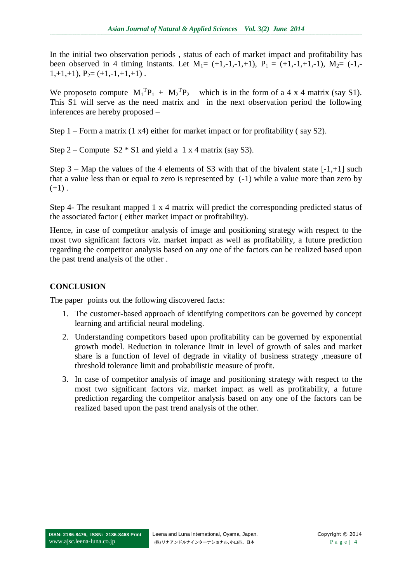In the initial two observation periods , status of each of market impact and profitability has been observed in 4 timing instants. Let  $M_1 = (+1,-1,-1,+1)$ ,  $P_1 = (+1,-1,+1,-1)$ ,  $M_2 = (-1,-1,+1,-1)$  $1,+1,+1$ ),  $P_2=(+1,-1,+1,+1)$ .

We proposeto compute  $M_1^T P_1 + M_2^T P_2$  which is in the form of a 4 x 4 matrix (say S1). This S1 will serve as the need matrix and in the next observation period the following inferences are hereby proposed –

Step 1 – Form a matrix (1 x4) either for market impact or for profitability ( say S2).

Step  $2$  – Compute S2  $*$  S1 and yield a 1 x 4 matrix (say S3).

Step  $3 - Map$  the values of the 4 elements of S3 with that of the bivalent state  $[-1, +1]$  such that a value less than or equal to zero is represented by (-1) while a value more than zero by  $(+1)$ .

Step 4- The resultant mapped 1 x 4 matrix will predict the corresponding predicted status of the associated factor ( either market impact or profitability).

Hence, in case of competitor analysis of image and positioning strategy with respect to the most two significant factors viz. market impact as well as profitability, a future prediction regarding the competitor analysis based on any one of the factors can be realized based upon the past trend analysis of the other .

## **CONCLUSION**

The paper points out the following discovered facts:

- 1. The customer-based approach of identifying competitors can be governed by concept learning and artificial neural modeling.
- 2. Understanding competitors based upon profitability can be governed by exponential growth model. Reduction in tolerance limit in level of growth of sales and market share is a function of level of degrade in vitality of business strategy ,measure of threshold tolerance limit and probabilistic measure of profit.
- 3. In case of competitor analysis of image and positioning strategy with respect to the most two significant factors viz. market impact as well as profitability, a future prediction regarding the competitor analysis based on any one of the factors can be realized based upon the past trend analysis of the other.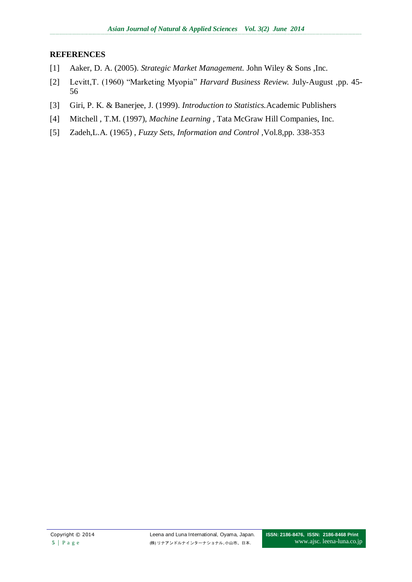### **REFERENCES**

- [1] Aaker, D. A. (2005). *Strategic Market Management.* John Wiley & Sons ,Inc.
- [2] Levitt,T. (1960) "Marketing Myopia" *Harvard Business Review.* July-August ,pp. 45- 56
- [3] Giri, P. K. & Banerjee, J. (1999). *Introduction to Statistics.*Academic Publishers
- [4] Mitchell , T.M. (1997), *Machine Learning ,* Tata McGraw Hill Companies, Inc.
- [5] Zadeh,L.A. (1965) , *Fuzzy Sets, Information and Control ,*Vol.8,pp. 338-353